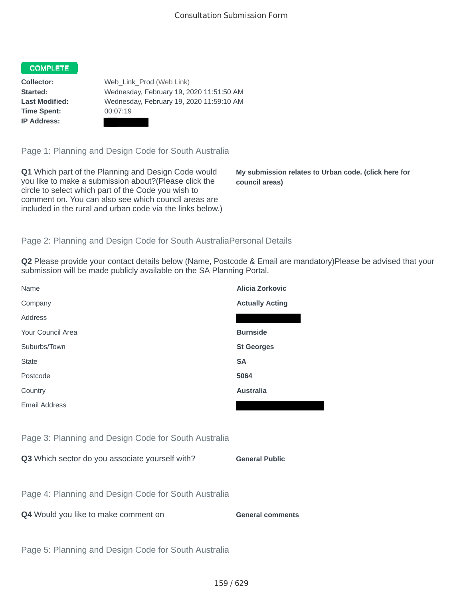## **COMPLETE**

**Time Spent:** 00:07:19 **IP Address:**

**Collector:** Web\_Link\_Prod (Web Link) **Started:** Wednesday, February 19, 2020 11:51:50 AM **Last Modified:** Wednesday, February 19, 2020 11:59:10 AM

Page 1: Planning and Design Code for South Australia

**Q1** Which part of the Planning and Design Code would you like to make a submission about?(Please click the circle to select which part of the Code you wish to comment on. You can also see which council areas are included in the rural and urban code via the links below.)

**My submission relates to Urban code. (click here for council areas)**

## Page 2: Planning and Design Code for South AustraliaPersonal Details

**Q2** Please provide your contact details below (Name, Postcode & Email are mandatory)Please be advised that your submission will be made publicly available on the SA Planning Portal.

| Name                                                 | Alicia Zorkovic        |
|------------------------------------------------------|------------------------|
| Company                                              | <b>Actually Acting</b> |
| Address                                              |                        |
| Your Council Area                                    | <b>Burnside</b>        |
| Suburbs/Town                                         | <b>St Georges</b>      |
| <b>State</b>                                         | <b>SA</b>              |
| Postcode                                             | 5064                   |
| Country                                              | <b>Australia</b>       |
| Email Address                                        |                        |
|                                                      |                        |
| Page 3: Planning and Design Code for South Australia |                        |
| Q3 Which sector do you associate yourself with?      | <b>General Public</b>  |

Page 4: Planning and Design Code for South Australia

**Q4** Would you like to make comment on **General comments** 

Page 5: Planning and Design Code for South Australia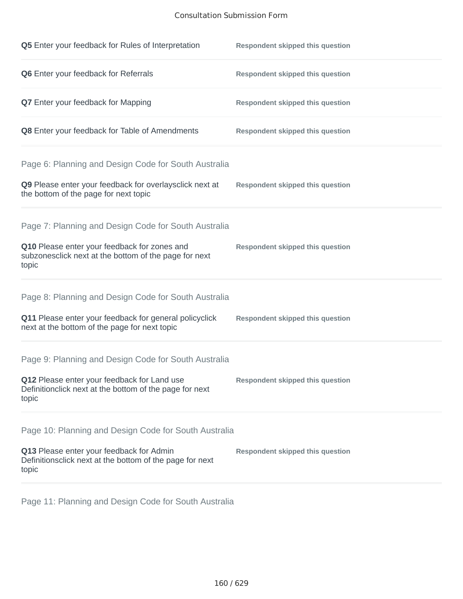## Consultation Submission Form

| Q5 Enter your feedback for Rules of Interpretation                                                              | <b>Respondent skipped this question</b> |
|-----------------------------------------------------------------------------------------------------------------|-----------------------------------------|
| Q6 Enter your feedback for Referrals                                                                            | <b>Respondent skipped this question</b> |
| <b>Q7</b> Enter your feedback for Mapping                                                                       | <b>Respondent skipped this question</b> |
| Q8 Enter your feedback for Table of Amendments                                                                  | <b>Respondent skipped this question</b> |
| Page 6: Planning and Design Code for South Australia                                                            |                                         |
| Q9 Please enter your feedback for overlaysclick next at<br>the bottom of the page for next topic                | <b>Respondent skipped this question</b> |
| Page 7: Planning and Design Code for South Australia                                                            |                                         |
| Q10 Please enter your feedback for zones and<br>subzonesclick next at the bottom of the page for next<br>topic  | <b>Respondent skipped this question</b> |
| Page 8: Planning and Design Code for South Australia                                                            |                                         |
| Q11 Please enter your feedback for general policyclick<br>next at the bottom of the page for next topic         | <b>Respondent skipped this question</b> |
| Page 9: Planning and Design Code for South Australia                                                            |                                         |
| Q12 Please enter your feedback for Land use<br>Definitionclick next at the bottom of the page for next<br>topic | <b>Respondent skipped this question</b> |
| Page 10: Planning and Design Code for South Australia                                                           |                                         |
| Q13 Please enter your feedback for Admin<br>Definitionsclick next at the bottom of the page for next<br>topic   | <b>Respondent skipped this question</b> |

Page 11: Planning and Design Code for South Australia